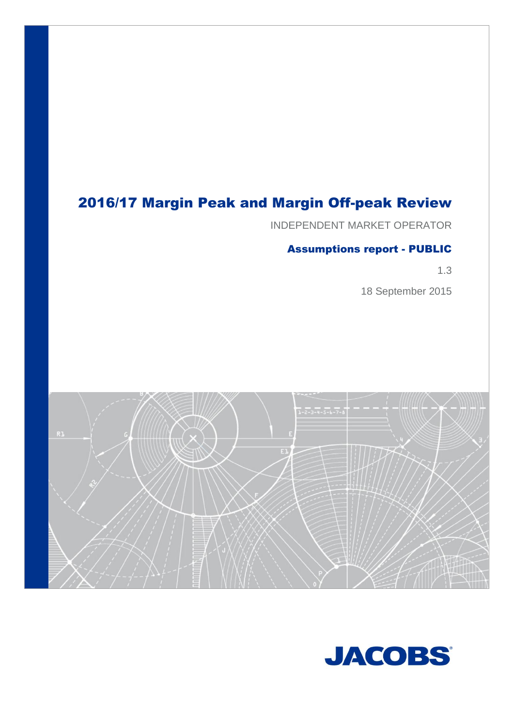## 2016/17 Margin Peak and Margin Off-peak Review

INDEPENDENT MARKET OPERATOR

## Assumptions report - PUBLIC

1.3

18 September 2015



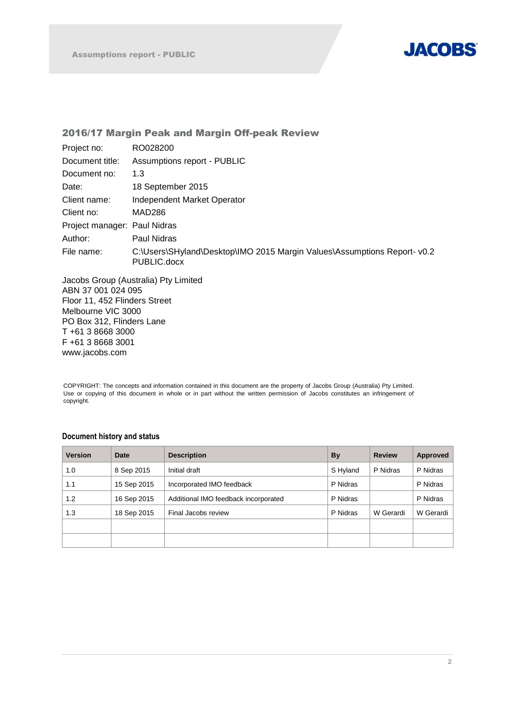

#### 2016/17 Margin Peak and Margin Off-peak Review

| Project no:                  | RO028200                                                                               |
|------------------------------|----------------------------------------------------------------------------------------|
| Document title:              | Assumptions report - PUBLIC                                                            |
| Document no:                 | 1.3                                                                                    |
| Date:                        | 18 September 2015                                                                      |
| Client name:                 | Independent Market Operator                                                            |
| Client no:                   | MAD <sub>286</sub>                                                                     |
| Project manager: Paul Nidras |                                                                                        |
| Author:                      | Paul Nidras                                                                            |
| File name:                   | C:\Users\SHyland\Desktop\IMO 2015 Margin Values\Assumptions Report-v0.2<br>PUBLIC.docx |

Jacobs Group (Australia) Pty Limited ABN 37 001 024 095 Floor 11, 452 Flinders Street Melbourne VIC 3000 PO Box 312, Flinders Lane T +61 3 8668 3000 F +61 3 8668 3001 www.jacobs.com

COPYRIGHT: The concepts and information contained in this document are the property of Jacobs Group (Australia) Pty Limited. Use or copying of this document in whole or in part without the written permission of Jacobs constitutes an infringement of copyright.

# **Version** Date **Description By Review Approved** 1.0 | 8 Sep 2015 | Initial draft | S Hyland | P Nidras | P Nidras 1.1 15 Sep 2015 | Incorporated IMO feedback | P Nidras | P Nidras | P Nidras | P Nidras 1.2 16 Sep 2015 Additional IMO feedback incorporated P Nidras P Nidras P Nidras 1.3 18 Sep 2015 Final Jacobs review P Nidras W Gerardi W Gerardi

#### **Document history and status**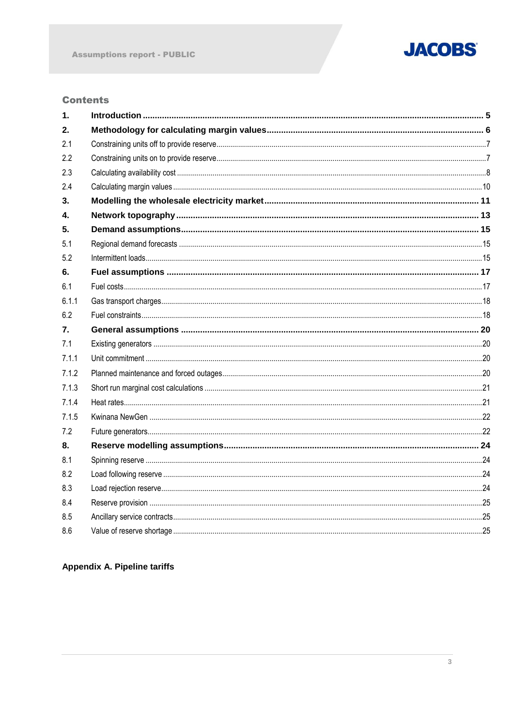

### **Contents**

| 1.    |  |
|-------|--|
| 2.    |  |
| 2.1   |  |
| 2.2   |  |
| 2.3   |  |
| 2.4   |  |
| 3.    |  |
| 4.    |  |
| 5.    |  |
| 5.1   |  |
| 5.2   |  |
| 6.    |  |
| 6.1   |  |
| 6.1.1 |  |
| 6.2   |  |
| 7.    |  |
| 7.1   |  |
| 7.1.1 |  |
| 7.1.2 |  |
| 7.1.3 |  |
| 7.1.4 |  |
| 7.1.5 |  |
| 7.2   |  |
| 8.    |  |
| 8.1   |  |
| 8.2   |  |
| 8.3   |  |
| 8.4   |  |
| 8.5   |  |
| 8.6   |  |

## Appendix A. Pipeline tariffs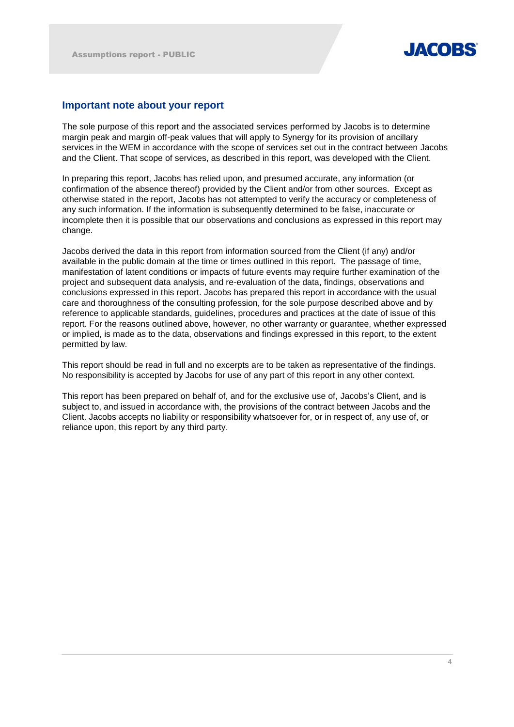

#### **Important note about your report**

The sole purpose of this report and the associated services performed by Jacobs is to determine margin peak and margin off-peak values that will apply to Synergy for its provision of ancillary services in the WEM in accordance with the scope of services set out in the contract between Jacobs and the Client. That scope of services, as described in this report, was developed with the Client.

In preparing this report, Jacobs has relied upon, and presumed accurate, any information (or confirmation of the absence thereof) provided by the Client and/or from other sources. Except as otherwise stated in the report, Jacobs has not attempted to verify the accuracy or completeness of any such information. If the information is subsequently determined to be false, inaccurate or incomplete then it is possible that our observations and conclusions as expressed in this report may change.

Jacobs derived the data in this report from information sourced from the Client (if any) and/or available in the public domain at the time or times outlined in this report. The passage of time, manifestation of latent conditions or impacts of future events may require further examination of the project and subsequent data analysis, and re-evaluation of the data, findings, observations and conclusions expressed in this report. Jacobs has prepared this report in accordance with the usual care and thoroughness of the consulting profession, for the sole purpose described above and by reference to applicable standards, guidelines, procedures and practices at the date of issue of this report. For the reasons outlined above, however, no other warranty or guarantee, whether expressed or implied, is made as to the data, observations and findings expressed in this report, to the extent permitted by law.

This report should be read in full and no excerpts are to be taken as representative of the findings. No responsibility is accepted by Jacobs for use of any part of this report in any other context.

This report has been prepared on behalf of, and for the exclusive use of, Jacobs's Client, and is subject to, and issued in accordance with, the provisions of the contract between Jacobs and the Client. Jacobs accepts no liability or responsibility whatsoever for, or in respect of, any use of, or reliance upon, this report by any third party.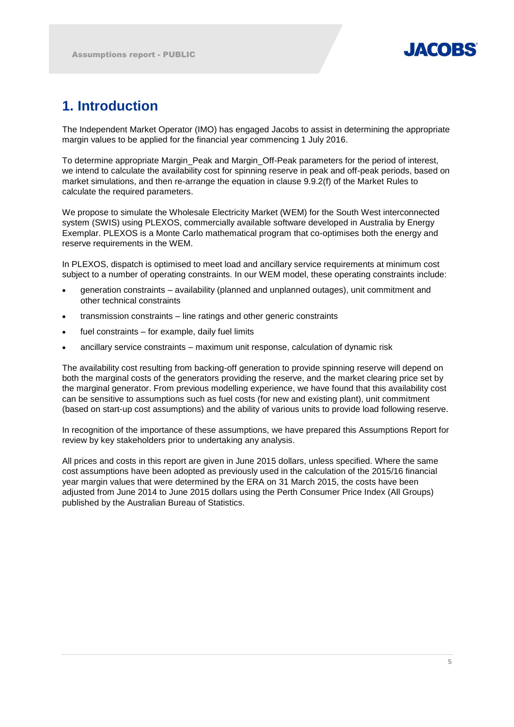

## **1. Introduction**

The Independent Market Operator (IMO) has engaged Jacobs to assist in determining the appropriate margin values to be applied for the financial year commencing 1 July 2016.

To determine appropriate Margin\_Peak and Margin\_Off-Peak parameters for the period of interest, we intend to calculate the availability cost for spinning reserve in peak and off-peak periods, based on market simulations, and then re-arrange the equation in clause 9.9.2(f) of the Market Rules to calculate the required parameters.

We propose to simulate the Wholesale Electricity Market (WEM) for the South West interconnected system (SWIS) using PLEXOS, commercially available software developed in Australia by Energy Exemplar. PLEXOS is a Monte Carlo mathematical program that co-optimises both the energy and reserve requirements in the WEM.

In PLEXOS, dispatch is optimised to meet load and ancillary service requirements at minimum cost subject to a number of operating constraints. In our WEM model, these operating constraints include:

- generation constraints availability (planned and unplanned outages), unit commitment and other technical constraints
- transmission constraints line ratings and other generic constraints
- fuel constraints for example, daily fuel limits
- ancillary service constraints maximum unit response, calculation of dynamic risk

The availability cost resulting from backing-off generation to provide spinning reserve will depend on both the marginal costs of the generators providing the reserve, and the market clearing price set by the marginal generator. From previous modelling experience, we have found that this availability cost can be sensitive to assumptions such as fuel costs (for new and existing plant), unit commitment (based on start-up cost assumptions) and the ability of various units to provide load following reserve.

In recognition of the importance of these assumptions, we have prepared this Assumptions Report for review by key stakeholders prior to undertaking any analysis.

All prices and costs in this report are given in June 2015 dollars, unless specified. Where the same cost assumptions have been adopted as previously used in the calculation of the 2015/16 financial year margin values that were determined by the ERA on 31 March 2015, the costs have been adjusted from June 2014 to June 2015 dollars using the Perth Consumer Price Index (All Groups) published by the Australian Bureau of Statistics.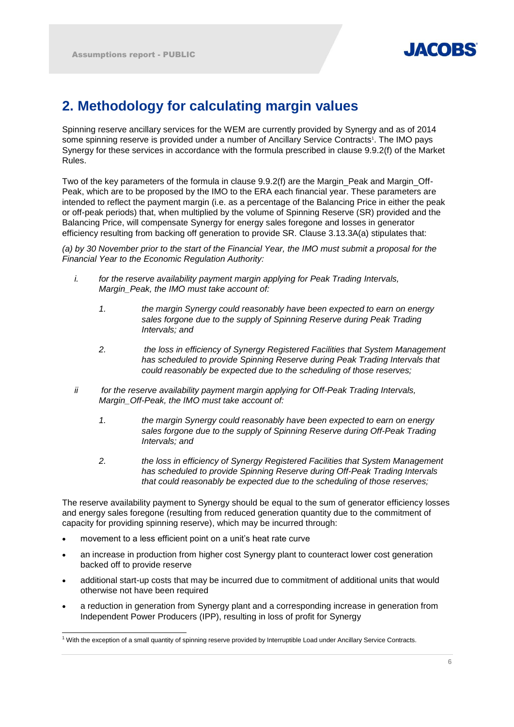

## **2. Methodology for calculating margin values**

Spinning reserve ancillary services for the WEM are currently provided by Synergy and as of 2014 some spinning reserve is provided under a number of Ancillary Service Contracts 1 . The IMO pays Synergy for these services in accordance with the formula prescribed in clause 9.9.2(f) of the Market Rules.

Two of the key parameters of the formula in clause 9.9.2(f) are the Margin\_Peak and Margin\_Off-Peak, which are to be proposed by the IMO to the ERA each financial year. These parameters are intended to reflect the payment margin (i.e. as a percentage of the Balancing Price in either the peak or off-peak periods) that, when multiplied by the volume of Spinning Reserve (SR) provided and the Balancing Price, will compensate Synergy for energy sales foregone and losses in generator efficiency resulting from backing off generation to provide SR. Clause 3.13.3A(a) stipulates that:

*(a) by 30 November prior to the start of the Financial Year, the IMO must submit a proposal for the Financial Year to the Economic Regulation Authority:*

- *i. for the reserve availability payment margin applying for Peak Trading Intervals, Margin\_Peak, the IMO must take account of:*
	- *1. the margin Synergy could reasonably have been expected to earn on energy sales forgone due to the supply of Spinning Reserve during Peak Trading Intervals; and*
	- *2. the loss in efficiency of Synergy Registered Facilities that System Management has scheduled to provide Spinning Reserve during Peak Trading Intervals that could reasonably be expected due to the scheduling of those reserves;*
- *ii for the reserve availability payment margin applying for Off-Peak Trading Intervals, Margin\_Off-Peak, the IMO must take account of:*
	- *1. the margin Synergy could reasonably have been expected to earn on energy sales forgone due to the supply of Spinning Reserve during Off-Peak Trading Intervals; and*
	- *2. the loss in efficiency of Synergy Registered Facilities that System Management has scheduled to provide Spinning Reserve during Off-Peak Trading Intervals that could reasonably be expected due to the scheduling of those reserves;*

The reserve availability payment to Synergy should be equal to the sum of generator efficiency losses and energy sales foregone (resulting from reduced generation quantity due to the commitment of capacity for providing spinning reserve), which may be incurred through:

movement to a less efficient point on a unit's heat rate curve

1

- an increase in production from higher cost Synergy plant to counteract lower cost generation backed off to provide reserve
- additional start-up costs that may be incurred due to commitment of additional units that would otherwise not have been required
- a reduction in generation from Synergy plant and a corresponding increase in generation from Independent Power Producers (IPP), resulting in loss of profit for Synergy

<sup>&</sup>lt;sup>1</sup> With the exception of a small quantity of spinning reserve provided by Interruptible Load under Ancillary Service Contracts.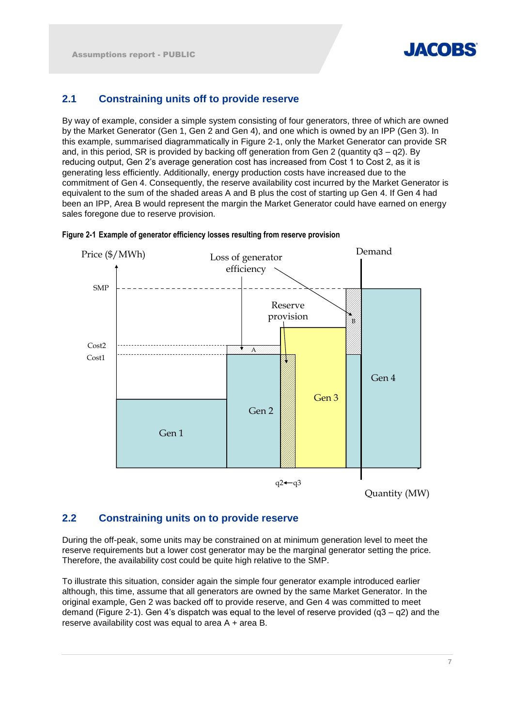

## **2.1 Constraining units off to provide reserve**

By way of example, consider a simple system consisting of four generators, three of which are owned by the Market Generator (Gen 1, Gen 2 and Gen 4), and one which is owned by an IPP (Gen 3). In this example, summarised diagrammatically in [Figure 2-1,](#page-6-0) only the Market Generator can provide SR and, in this period, SR is provided by backing off generation from Gen 2 (quantity  $q3 - q2$ ). By reducing output, Gen 2's average generation cost has increased from Cost 1 to Cost 2, as it is generating less efficiently. Additionally, energy production costs have increased due to the commitment of Gen 4. Consequently, the reserve availability cost incurred by the Market Generator is equivalent to the sum of the shaded areas A and B plus the cost of starting up Gen 4. If Gen 4 had been an IPP, Area B would represent the margin the Market Generator could have earned on energy sales foregone due to reserve provision.



<span id="page-6-0"></span>**Figure 2-1 Example of generator efficiency losses resulting from reserve provision**

## **2.2 Constraining units on to provide reserve**

During the off-peak, some units may be constrained on at minimum generation level to meet the reserve requirements but a lower cost generator may be the marginal generator setting the price. Therefore, the availability cost could be quite high relative to the SMP.

To illustrate this situation, consider again the simple four generator example introduced earlier although, this time, assume that all generators are owned by the same Market Generator. In the original example, Gen 2 was backed off to provide reserve, and Gen 4 was committed to meet demand [\(Figure 2-1\)](#page-6-0). Gen 4's dispatch was equal to the level of reserve provided ( $q3 - q2$ ) and the reserve availability cost was equal to area A + area B.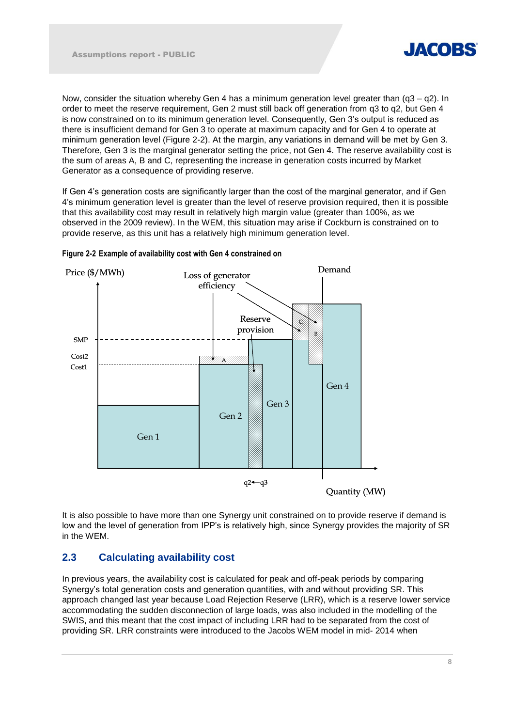

Now, consider the situation whereby Gen 4 has a minimum generation level greater than (q3 – q2). In order to meet the reserve requirement, Gen 2 must still back off generation from q3 to q2, but Gen 4 is now constrained on to its minimum generation level. Consequently, Gen 3's output is reduced as there is insufficient demand for Gen 3 to operate at maximum capacity and for Gen 4 to operate at minimum generation level [\(Figure 2-2\)](#page-7-0). At the margin, any variations in demand will be met by Gen 3. Therefore, Gen 3 is the marginal generator setting the price, not Gen 4. The reserve availability cost is the sum of areas A, B and C, representing the increase in generation costs incurred by Market Generator as a consequence of providing reserve.

If Gen 4's generation costs are significantly larger than the cost of the marginal generator, and if Gen 4's minimum generation level is greater than the level of reserve provision required, then it is possible that this availability cost may result in relatively high margin value (greater than 100%, as we observed in the 2009 review). In the WEM, this situation may arise if Cockburn is constrained on to provide reserve, as this unit has a relatively high minimum generation level.



#### <span id="page-7-0"></span>**Figure 2-2 Example of availability cost with Gen 4 constrained on**

It is also possible to have more than one Synergy unit constrained on to provide reserve if demand is low and the level of generation from IPP's is relatively high, since Synergy provides the majority of SR in the WEM.

### **2.3 Calculating availability cost**

In previous years, the availability cost is calculated for peak and off-peak periods by comparing Synergy's total generation costs and generation quantities, with and without providing SR. This approach changed last year because Load Rejection Reserve (LRR), which is a reserve lower service accommodating the sudden disconnection of large loads, was also included in the modelling of the SWIS, and this meant that the cost impact of including LRR had to be separated from the cost of providing SR. LRR constraints were introduced to the Jacobs WEM model in mid- 2014 when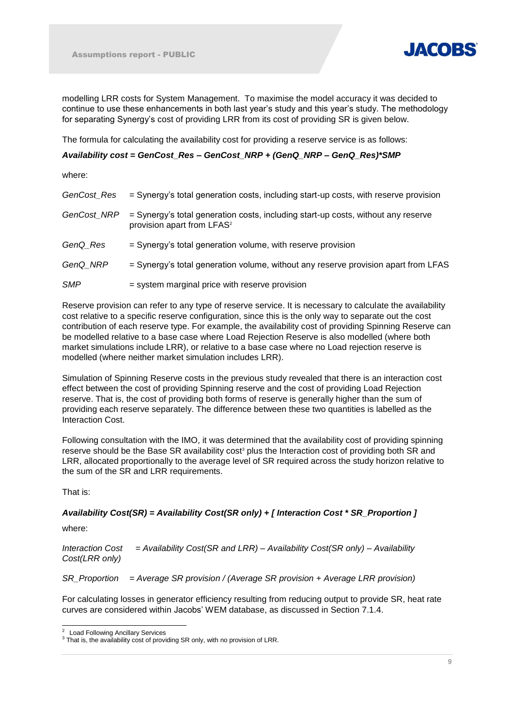

modelling LRR costs for System Management. To maximise the model accuracy it was decided to continue to use these enhancements in both last year's study and this year's study. The methodology for separating Synergy's cost of providing LRR from its cost of providing SR is given below.

The formula for calculating the availability cost for providing a reserve service is as follows:

### *Availability cost = GenCost\_Res – GenCost\_NRP + (GenQ\_NRP – GenQ\_Res)\*SMP*

where:

| GenCost Res | $=$ Synergy's total generation costs, including start-up costs, with reserve provision                                      |
|-------------|-----------------------------------------------------------------------------------------------------------------------------|
| GenCost NRP | = Synergy's total generation costs, including start-up costs, without any reserve<br>provision apart from LFAS <sup>2</sup> |
| GenQ Res    | $=$ Synergy's total generation volume, with reserve provision                                                               |
| GenQ NRP    | = Synergy's total generation volume, without any reserve provision apart from LFAS                                          |
| <b>SMP</b>  | = system marginal price with reserve provision                                                                              |

Reserve provision can refer to any type of reserve service. It is necessary to calculate the availability cost relative to a specific reserve configuration, since this is the only way to separate out the cost contribution of each reserve type. For example, the availability cost of providing Spinning Reserve can be modelled relative to a base case where Load Rejection Reserve is also modelled (where both market simulations include LRR), or relative to a base case where no Load rejection reserve is modelled (where neither market simulation includes LRR).

Simulation of Spinning Reserve costs in the previous study revealed that there is an interaction cost effect between the cost of providing Spinning reserve and the cost of providing Load Rejection reserve. That is, the cost of providing both forms of reserve is generally higher than the sum of providing each reserve separately. The difference between these two quantities is labelled as the Interaction Cost.

Following consultation with the IMO, it was determined that the availability cost of providing spinning reserve should be the Base SR availability cost<sup>3</sup> plus the Interaction cost of providing both SR and LRR, allocated proportionally to the average level of SR required across the study horizon relative to the sum of the SR and LRR requirements.

That is:

#### *Availability Cost(SR) = Availability Cost(SR only) + [ Interaction Cost \* SR\_Proportion ]*

where:

*Interaction Cost = Availability Cost(SR and LRR) – Availability Cost(SR only) – Availability Cost(LRR only)*

*SR\_Proportion = Average SR provision / (Average SR provision + Average LRR provision)*

For calculating losses in generator efficiency resulting from reducing output to provide SR, heat rate curves are considered within Jacobs' WEM database, as discussed in Section [7.1.4.](#page-20-0)

 2 Load Following Ancillary Services

 $3$  That is, the availability cost of providing SR only, with no provision of LRR.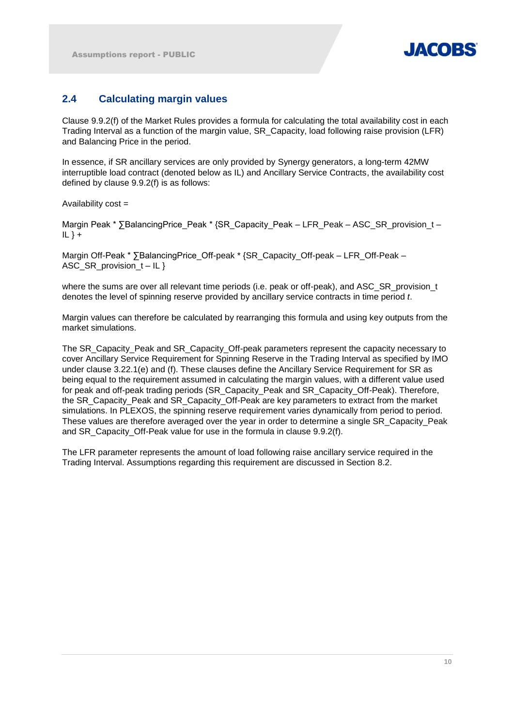

## **2.4 Calculating margin values**

Clause 9.9.2(f) of the Market Rules provides a formula for calculating the total availability cost in each Trading Interval as a function of the margin value, SR\_Capacity, load following raise provision (LFR) and Balancing Price in the period.

In essence, if SR ancillary services are only provided by Synergy generators, a long-term 42MW interruptible load contract (denoted below as IL) and Ancillary Service Contracts, the availability cost defined by clause 9.9.2(f) is as follows:

Availability cost =

Margin Peak \* ∑BalancingPrice\_Peak \* {SR\_Capacity\_Peak – LFR\_Peak – ASC\_SR\_provision\_t –  $IL$ } +

Margin Off-Peak \* ∑BalancingPrice\_Off-peak \* {SR\_Capacity\_Off-peak – LFR\_Off-Peak – ASC\_SR\_provision\_t – IL }

where the sums are over all relevant time periods (i.e. peak or off-peak), and ASC\_SR\_provision\_t denotes the level of spinning reserve provided by ancillary service contracts in time period *t*.

Margin values can therefore be calculated by rearranging this formula and using key outputs from the market simulations.

The SR\_Capacity\_Peak and SR\_Capacity\_Off-peak parameters represent the capacity necessary to cover Ancillary Service Requirement for Spinning Reserve in the Trading Interval as specified by IMO under clause 3.22.1(e) and (f). These clauses define the Ancillary Service Requirement for SR as being equal to the requirement assumed in calculating the margin values, with a different value used for peak and off-peak trading periods (SR\_Capacity\_Peak and SR\_Capacity\_Off-Peak). Therefore, the SR\_Capacity\_Peak and SR\_Capacity\_Off-Peak are key parameters to extract from the market simulations. In PLEXOS, the spinning reserve requirement varies dynamically from period to period. These values are therefore averaged over the year in order to determine a single SR\_Capacity\_Peak and SR\_Capacity\_Off-Peak value for use in the formula in clause 9.9.2(f).

The LFR parameter represents the amount of load following raise ancillary service required in the Trading Interval. Assumptions regarding this requirement are discussed in Section [8.2.](#page-23-0)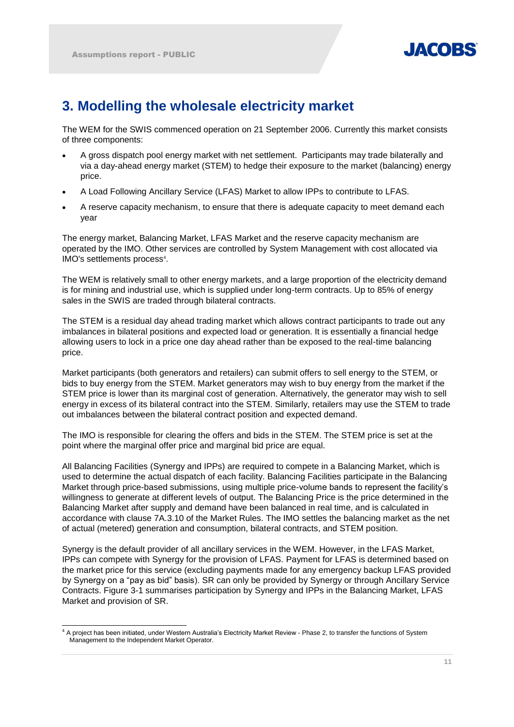

## **3. Modelling the wholesale electricity market**

The WEM for the SWIS commenced operation on 21 September 2006. Currently this market consists of three components:

- A gross dispatch pool energy market with net settlement. Participants may trade bilaterally and via a day-ahead energy market (STEM) to hedge their exposure to the market (balancing) energy price.
- A Load Following Ancillary Service (LFAS) Market to allow IPPs to contribute to LFAS.
- A reserve capacity mechanism, to ensure that there is adequate capacity to meet demand each year

The energy market, Balancing Market, LFAS Market and the reserve capacity mechanism are operated by the IMO. Other services are controlled by System Management with cost allocated via IMO's settlements process<sup>4</sup>.

The WEM is relatively small to other energy markets, and a large proportion of the electricity demand is for mining and industrial use, which is supplied under long-term contracts. Up to 85% of energy sales in the SWIS are traded through bilateral contracts.

The STEM is a residual day ahead trading market which allows contract participants to trade out any imbalances in bilateral positions and expected load or generation. It is essentially a financial hedge allowing users to lock in a price one day ahead rather than be exposed to the real-time balancing price.

Market participants (both generators and retailers) can submit offers to sell energy to the STEM, or bids to buy energy from the STEM. Market generators may wish to buy energy from the market if the STEM price is lower than its marginal cost of generation. Alternatively, the generator may wish to sell energy in excess of its bilateral contract into the STEM. Similarly, retailers may use the STEM to trade out imbalances between the bilateral contract position and expected demand.

The IMO is responsible for clearing the offers and bids in the STEM. The STEM price is set at the point where the marginal offer price and marginal bid price are equal.

All Balancing Facilities (Synergy and IPPs) are required to compete in a Balancing Market, which is used to determine the actual dispatch of each facility. Balancing Facilities participate in the Balancing Market through price-based submissions, using multiple price-volume bands to represent the facility's willingness to generate at different levels of output. The Balancing Price is the price determined in the Balancing Market after supply and demand have been balanced in real time, and is calculated in accordance with clause 7A.3.10 of the Market Rules. The IMO settles the balancing market as the net of actual (metered) generation and consumption, bilateral contracts, and STEM position.

Synergy is the default provider of all ancillary services in the WEM. However, in the LFAS Market, IPPs can compete with Synergy for the provision of LFAS. Payment for LFAS is determined based on the market price for this service (excluding payments made for any emergency backup LFAS provided by Synergy on a "pay as bid" basis). SR can only be provided by Synergy or through Ancillary Service Contracts. [Figure 3-1](#page-11-0) summarises participation by Synergy and IPPs in the Balancing Market, LFAS Market and provision of SR.

<sup>1</sup> <sup>4</sup> A project has been initiated, under Western Australia's Electricity Market Review - Phase 2, to transfer the functions of System Management to the Independent Market Operator.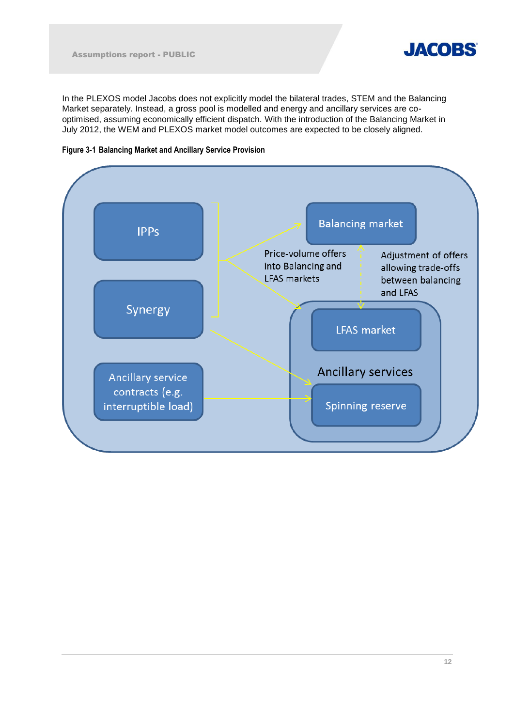

In the PLEXOS model Jacobs does not explicitly model the bilateral trades, STEM and the Balancing Market separately. Instead, a gross pool is modelled and energy and ancillary services are cooptimised, assuming economically efficient dispatch. With the introduction of the Balancing Market in July 2012, the WEM and PLEXOS market model outcomes are expected to be closely aligned.



<span id="page-11-0"></span>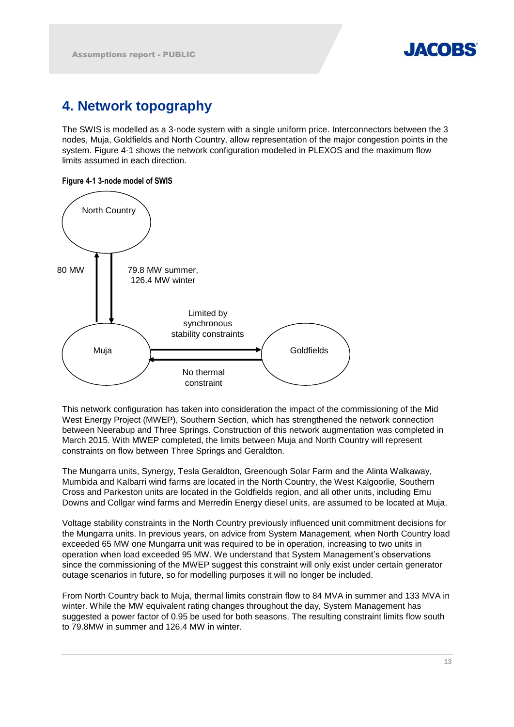

## **4. Network topography**

The SWIS is modelled as a 3-node system with a single uniform price. Interconnectors between the 3 nodes, Muja, Goldfields and North Country, allow representation of the major congestion points in the system. [Figure 4-1](#page-12-0) shows the network configuration modelled in PLEXOS and the maximum flow limits assumed in each direction.

#### <span id="page-12-0"></span>**Figure 4-1 3-node model of SWIS**



This network configuration has taken into consideration the impact of the commissioning of the Mid West Energy Project (MWEP), Southern Section, which has strengthened the network connection between Neerabup and Three Springs. Construction of this network augmentation was completed in March 2015. With MWEP completed, the limits between Muja and North Country will represent constraints on flow between Three Springs and Geraldton.

The Mungarra units, Synergy, Tesla Geraldton, Greenough Solar Farm and the Alinta Walkaway, Mumbida and Kalbarri wind farms are located in the North Country, the West Kalgoorlie, Southern Cross and Parkeston units are located in the Goldfields region, and all other units, including Emu Downs and Collgar wind farms and Merredin Energy diesel units, are assumed to be located at Muja.

Voltage stability constraints in the North Country previously influenced unit commitment decisions for the Mungarra units. In previous years, on advice from System Management, when North Country load exceeded 65 MW one Mungarra unit was required to be in operation, increasing to two units in operation when load exceeded 95 MW. We understand that System Management's observations since the commissioning of the MWEP suggest this constraint will only exist under certain generator outage scenarios in future, so for modelling purposes it will no longer be included.

From North Country back to Muja, thermal limits constrain flow to 84 MVA in summer and 133 MVA in winter. While the MW equivalent rating changes throughout the day, System Management has suggested a power factor of 0.95 be used for both seasons. The resulting constraint limits flow south to 79.8MW in summer and 126.4 MW in winter.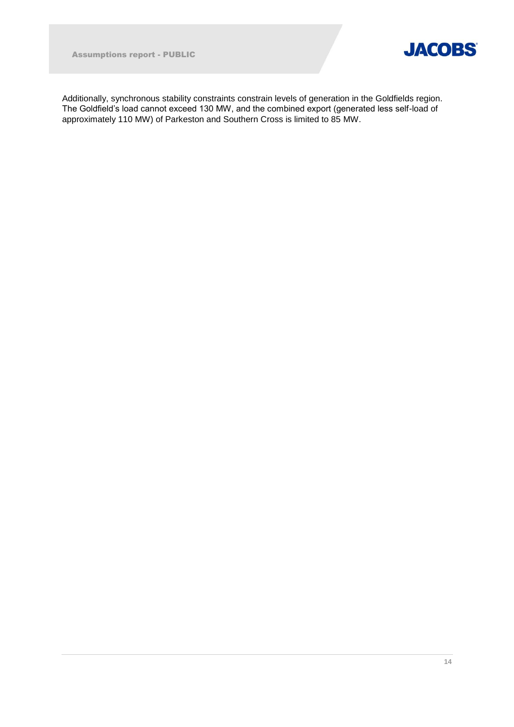

Additionally, synchronous stability constraints constrain levels of generation in the Goldfields region. The Goldfield's load cannot exceed 130 MW, and the combined export (generated less self-load of approximately 110 MW) of Parkeston and Southern Cross is limited to 85 MW.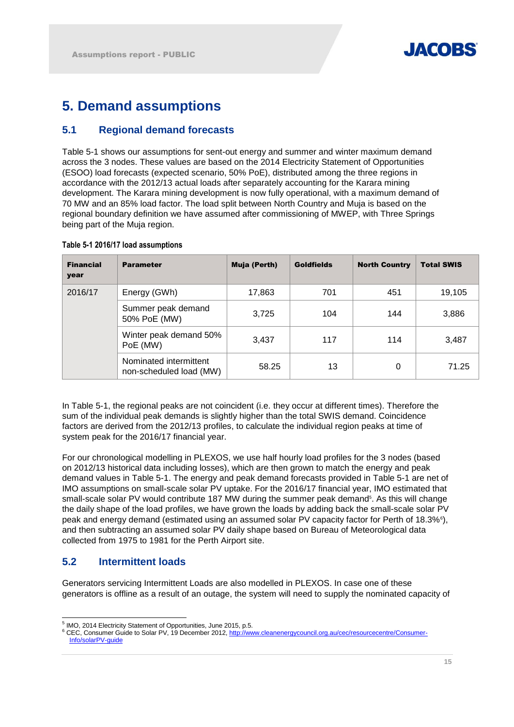

## **5. Demand assumptions**

## **5.1 Regional demand forecasts**

[Table 5-1](#page-14-0) shows our assumptions for sent-out energy and summer and winter maximum demand across the 3 nodes. These values are based on the 2014 Electricity Statement of Opportunities (ESOO) load forecasts (expected scenario, 50% PoE), distributed among the three regions in accordance with the 2012/13 actual loads after separately accounting for the Karara mining development. The Karara mining development is now fully operational, with a maximum demand of 70 MW and an 85% load factor. The load split between North Country and Muja is based on the regional boundary definition we have assumed after commissioning of MWEP, with Three Springs being part of the Muja region.

| <b>Financial</b><br>year | <b>Parameter</b>                                  | Muja (Perth) | <b>Goldfields</b> | <b>North Country</b> | <b>Total SWIS</b> |
|--------------------------|---------------------------------------------------|--------------|-------------------|----------------------|-------------------|
| 2016/17                  | Energy (GWh)                                      | 17,863       | 701               | 451                  | 19,105            |
|                          | Summer peak demand<br>50% PoE (MW)                | 3,725        | 104               | 144                  | 3,886             |
|                          | Winter peak demand 50%<br>PoE (MW)                | 3,437        | 117               | 114                  | 3,487             |
|                          | Nominated intermittent<br>non-scheduled load (MW) | 58.25        | 13                | 0                    | 71.25             |

#### <span id="page-14-0"></span>**Table 5-1 2016/17 load assumptions**

In [Table 5-1,](#page-14-0) the regional peaks are not coincident (i.e. they occur at different times). Therefore the sum of the individual peak demands is slightly higher than the total SWIS demand. Coincidence factors are derived from the 2012/13 profiles, to calculate the individual region peaks at time of system peak for the 2016/17 financial year.

For our chronological modelling in PLEXOS, we use half hourly load profiles for the 3 nodes (based on 2012/13 historical data including losses), which are then grown to match the energy and peak demand values in [Table 5-1.](#page-14-0) The energy and peak demand forecasts provided in [Table 5-1](#page-14-0) are net of IMO assumptions on small-scale solar PV uptake. For the 2016/17 financial year, IMO estimated that small-scale solar PV would contribute 187 MW during the summer peak demand<sup>5</sup>. As this will change the daily shape of the load profiles, we have grown the loads by adding back the small-scale solar PV peak and energy demand (estimated using an assumed solar PV capacity factor for Perth of 18.3%<sup>6</sup>), and then subtracting an assumed solar PV daily shape based on Bureau of Meteorological data collected from 1975 to 1981 for the Perth Airport site.

## **5.2 Intermittent loads**

Generators servicing Intermittent Loads are also modelled in PLEXOS. In case one of these generators is offline as a result of an outage, the system will need to supply the nominated capacity of

<sup>1</sup> <sup>5</sup> IMO, 2014 Electricity Statement of Opportunities, June 2015, p.5.

<sup>&</sup>lt;sup>6</sup> CEC, Consumer Guide to Solar PV, 19 December 2012[, http://www.cleanenergycouncil.org.au/cec/resourcecentre/Consumer-](http://www.cleanenergycouncil.org.au/cec/resourcecentre/Consumer-Info/solarPV-guide)[Info/solarPV-guide](http://www.cleanenergycouncil.org.au/cec/resourcecentre/Consumer-Info/solarPV-guide)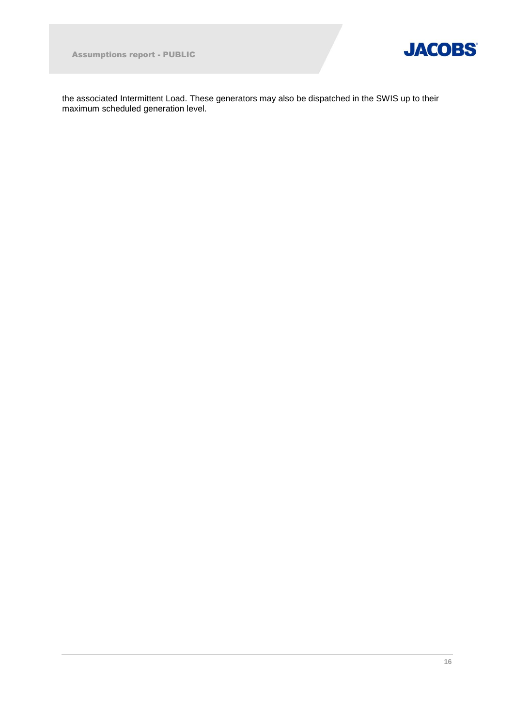Assumptions report - PUBLIC



the associated Intermittent Load. These generators may also be dispatched in the SWIS up to their maximum scheduled generation level.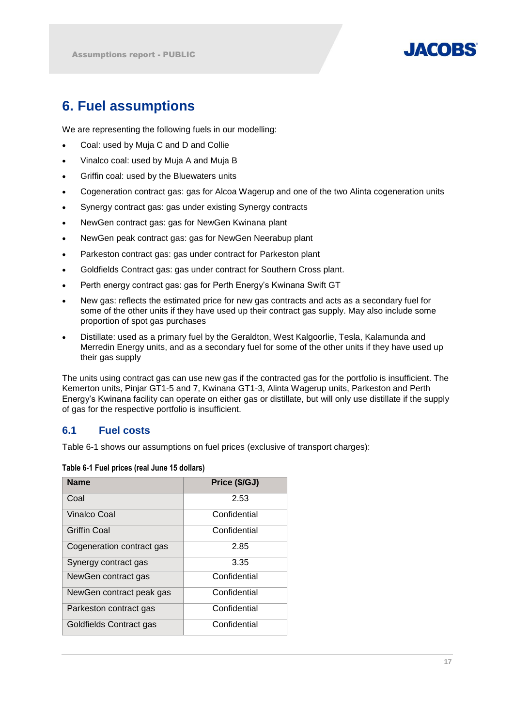

## **6. Fuel assumptions**

We are representing the following fuels in our modelling:

- Coal: used by Muja C and D and Collie
- Vinalco coal: used by Muja A and Muja B
- Griffin coal: used by the Bluewaters units
- Cogeneration contract gas: gas for Alcoa Wagerup and one of the two Alinta cogeneration units
- Synergy contract gas: gas under existing Synergy contracts
- NewGen contract gas: gas for NewGen Kwinana plant
- NewGen peak contract gas: gas for NewGen Neerabup plant
- Parkeston contract gas: gas under contract for Parkeston plant
- Goldfields Contract gas: gas under contract for Southern Cross plant.
- Perth energy contract gas: gas for Perth Energy's Kwinana Swift GT
- New gas: reflects the estimated price for new gas contracts and acts as a secondary fuel for some of the other units if they have used up their contract gas supply. May also include some proportion of spot gas purchases
- Distillate: used as a primary fuel by the Geraldton, West Kalgoorlie, Tesla, Kalamunda and Merredin Energy units, and as a secondary fuel for some of the other units if they have used up their gas supply

The units using contract gas can use new gas if the contracted gas for the portfolio is insufficient. The Kemerton units, Pinjar GT1-5 and 7, Kwinana GT1-3, Alinta Wagerup units, Parkeston and Perth Energy's Kwinana facility can operate on either gas or distillate, but will only use distillate if the supply of gas for the respective portfolio is insufficient.

## **6.1 Fuel costs**

[Table 6-1](#page-16-0) shows our assumptions on fuel prices (exclusive of transport charges):

#### <span id="page-16-0"></span>**Table 6-1 Fuel prices (real June 15 dollars)**

| <b>Name</b>               | Price (\$/GJ) |
|---------------------------|---------------|
| Coal                      | 2.53          |
| Vinalco Coal              | Confidential  |
| <b>Griffin Coal</b>       | Confidential  |
| Cogeneration contract gas | 2.85          |
| Synergy contract gas      | 3.35          |
| NewGen contract gas       | Confidential  |
| NewGen contract peak gas  | Confidential  |
| Parkeston contract gas    | Confidential  |
| Goldfields Contract gas   | Confidential  |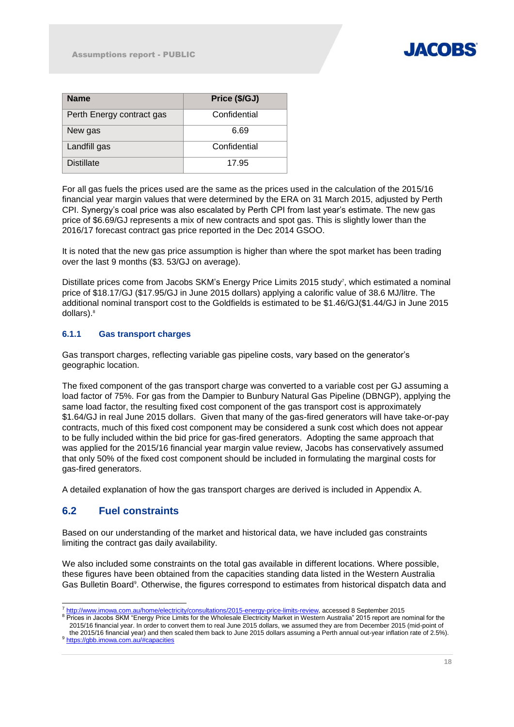

| <b>Name</b>               | Price (\$/GJ) |
|---------------------------|---------------|
| Perth Energy contract gas | Confidential  |
| New gas                   | 6.69          |
| Landfill gas              | Confidential  |
| <b>Distillate</b>         | 17.95         |

For all gas fuels the prices used are the same as the prices used in the calculation of the 2015/16 financial year margin values that were determined by the ERA on 31 March 2015, adjusted by Perth CPI. Synergy's coal price was also escalated by Perth CPI from last year's estimate. The new gas price of \$6.69/GJ represents a mix of new contracts and spot gas. This is slightly lower than the 2016/17 forecast contract gas price reported in the Dec 2014 GSOO.

It is noted that the new gas price assumption is higher than where the spot market has been trading over the last 9 months (\$3. 53/GJ on average).

Distillate prices come from Jacobs SKM's Energy Price Limits 2015 study<sup>7</sup>, which estimated a nominal price of \$18.17/GJ (\$17.95/GJ in June 2015 dollars) applying a calorific value of 38.6 MJ/litre. The additional nominal transport cost to the Goldfields is estimated to be \$1.46/GJ(\$1.44/GJ in June 2015 dollars). 8

#### **6.1.1 Gas transport charges**

Gas transport charges, reflecting variable gas pipeline costs, vary based on the generator's geographic location.

The fixed component of the gas transport charge was converted to a variable cost per GJ assuming a load factor of 75%. For gas from the Dampier to Bunbury Natural Gas Pipeline (DBNGP), applying the same load factor, the resulting fixed cost component of the gas transport cost is approximately \$1.64/GJ in real June 2015 dollars. Given that many of the gas-fired generators will have take-or-pay contracts, much of this fixed cost component may be considered a sunk cost which does not appear to be fully included within the bid price for gas-fired generators. Adopting the same approach that was applied for the 2015/16 financial year margin value review, Jacobs has conservatively assumed that only 50% of the fixed cost component should be included in formulating the marginal costs for gas-fired generators.

A detailed explanation of how the gas transport charges are derived is included in [Appendix A.](#page-25-0)

### **6.2 Fuel constraints**

Based on our understanding of the market and historical data, we have included gas constraints limiting the contract gas daily availability.

We also included some constraints on the total gas available in different locations. Where possible, these figures have been obtained from the capacities standing data listed in the Western Australia Gas Bulletin Board<sup>9</sup>. Otherwise, the figures correspond to estimates from historical dispatch data and

8 Prices in Jacobs SKM "Energy Price Limits for the Wholesale Electricity Market in Western Australia" 2015 report are nominal for the 2015/16 financial year. In order to convert them to real June 2015 dollars, we assumed they are from December 2015 (mid-point of the 2015/16 financial year) and then scaled them back to June 2015 dollars assuming a Perth annual out-year inflation rate of 2.5%). <sup>9</sup> <https://gbb.imowa.com.au/#capacities>

<sup>–&</sup>lt;br>7 <u>http://www.imowa.com.au/home/electricity/consultations/2015-energy-price-limits-review</u>, accessed 8 September 2015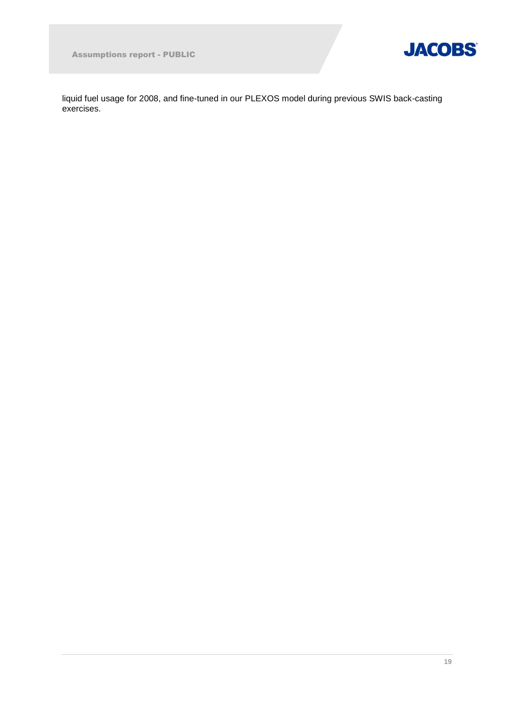

liquid fuel usage for 2008, and fine-tuned in our PLEXOS model during previous SWIS back-casting exercises.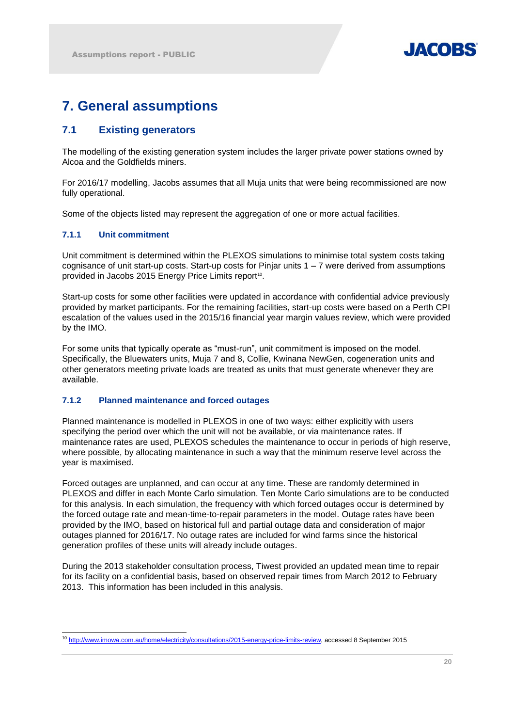

## **7. General assumptions**

## **7.1 Existing generators**

The modelling of the existing generation system includes the larger private power stations owned by Alcoa and the Goldfields miners.

For 2016/17 modelling, Jacobs assumes that all Muja units that were being recommissioned are now fully operational.

Some of the objects listed may represent the aggregation of one or more actual facilities.

#### **7.1.1 Unit commitment**

1

Unit commitment is determined within the PLEXOS simulations to minimise total system costs taking cognisance of unit start-up costs. Start-up costs for Pinjar units  $1 - 7$  were derived from assumptions provided in Jacobs 2015 Energy Price Limits report<sup>10</sup>.

Start-up costs for some other facilities were updated in accordance with confidential advice previously provided by market participants. For the remaining facilities, start-up costs were based on a Perth CPI escalation of the values used in the 2015/16 financial year margin values review, which were provided by the IMO.

For some units that typically operate as "must-run", unit commitment is imposed on the model. Specifically, the Bluewaters units, Muja 7 and 8, Collie, Kwinana NewGen, cogeneration units and other generators meeting private loads are treated as units that must generate whenever they are available.

#### **7.1.2 Planned maintenance and forced outages**

Planned maintenance is modelled in PLEXOS in one of two ways: either explicitly with users specifying the period over which the unit will not be available, or via maintenance rates. If maintenance rates are used, PLEXOS schedules the maintenance to occur in periods of high reserve, where possible, by allocating maintenance in such a way that the minimum reserve level across the year is maximised.

Forced outages are unplanned, and can occur at any time. These are randomly determined in PLEXOS and differ in each Monte Carlo simulation. Ten Monte Carlo simulations are to be conducted for this analysis. In each simulation, the frequency with which forced outages occur is determined by the forced outage rate and mean-time-to-repair parameters in the model. Outage rates have been provided by the IMO, based on historical full and partial outage data and consideration of major outages planned for 2016/17. No outage rates are included for wind farms since the historical generation profiles of these units will already include outages.

During the 2013 stakeholder consultation process, Tiwest provided an updated mean time to repair for its facility on a confidential basis, based on observed repair times from March 2012 to February 2013. This information has been included in this analysis.

<sup>&</sup>lt;sup>10</sup> [http://www.imowa.com.au/home/electricity/consultations/2015-energy-price-limits-review,](http://www.imowa.com.au/home/electricity/consultations/2015-energy-price-limits-review) accessed 8 September 2015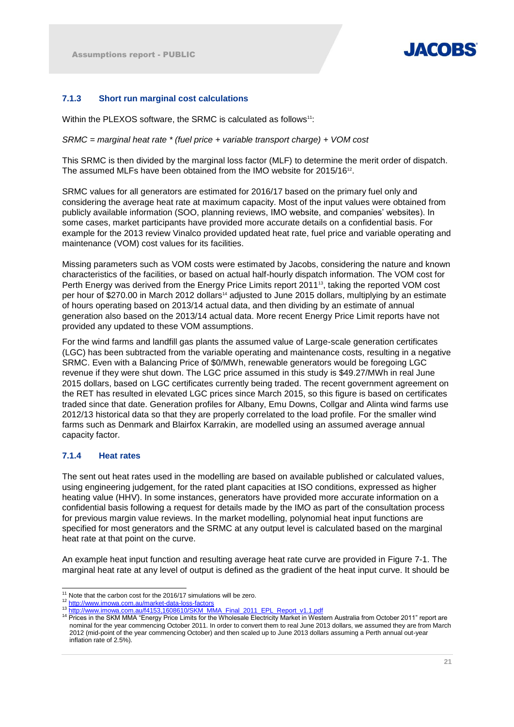

#### **7.1.3 Short run marginal cost calculations**

Within the PLEXOS software, the SRMC is calculated as follows<sup>11</sup>:

#### *SRMC = marginal heat rate \* (fuel price + variable transport charge) + VOM cost*

This SRMC is then divided by the marginal loss factor (MLF) to determine the merit order of dispatch. The assumed MLFs have been obtained from the IMO website for 2015/16<sup>12</sup>.

SRMC values for all generators are estimated for 2016/17 based on the primary fuel only and considering the average heat rate at maximum capacity. Most of the input values were obtained from publicly available information (SOO, planning reviews, IMO website, and companies' websites). In some cases, market participants have provided more accurate details on a confidential basis. For example for the 2013 review Vinalco provided updated heat rate, fuel price and variable operating and maintenance (VOM) cost values for its facilities.

Missing parameters such as VOM costs were estimated by Jacobs, considering the nature and known characteristics of the facilities, or based on actual half-hourly dispatch information. The VOM cost for Perth Energy was derived from the Energy Price Limits report 2011<sup>13</sup>, taking the reported VOM cost per hour of \$270.00 in March 2012 dollars<sup>14</sup> adjusted to June 2015 dollars, multiplying by an estimate of hours operating based on 2013/14 actual data, and then dividing by an estimate of annual generation also based on the 2013/14 actual data. More recent Energy Price Limit reports have not provided any updated to these VOM assumptions.

For the wind farms and landfill gas plants the assumed value of Large-scale generation certificates (LGC) has been subtracted from the variable operating and maintenance costs, resulting in a negative SRMC. Even with a Balancing Price of \$0/MWh, renewable generators would be foregoing LGC revenue if they were shut down. The LGC price assumed in this study is \$49.27/MWh in real June 2015 dollars, based on LGC certificates currently being traded. The recent government agreement on the RET has resulted in elevated LGC prices since March 2015, so this figure is based on certificates traded since that date. Generation profiles for Albany, Emu Downs, Collgar and Alinta wind farms use 2012/13 historical data so that they are properly correlated to the load profile. For the smaller wind farms such as Denmark and Blairfox Karrakin, are modelled using an assumed average annual capacity factor.

#### <span id="page-20-0"></span>**7.1.4 Heat rates**

1

The sent out heat rates used in the modelling are based on available published or calculated values, using engineering judgement, for the rated plant capacities at ISO conditions, expressed as higher heating value (HHV). In some instances, generators have provided more accurate information on a confidential basis following a request for details made by the IMO as part of the consultation process for previous margin value reviews. In the market modelling, polynomial heat input functions are specified for most generators and the SRMC at any output level is calculated based on the marginal heat rate at that point on the curve.

An example heat input function and resulting average heat rate curve are provided in [Figure 7-1.](#page-22-0) The marginal heat rate at any level of output is defined as the gradient of the heat input curve. It should be

 $11$  Note that the carbon cost for the 2016/17 simulations will be zero.

<sup>12</sup> <http://www.imowa.com.au/market-data-loss-factors>

<sup>13</sup> [http://www.imowa.com.au/f4153,1608610/SKM\\_MMA\\_Final\\_2011\\_EPL\\_Report\\_v1.1.pdf](http://www.imowa.com.au/f4153,1608610/SKM_MMA_Final_2011_EPL_Report_v1.1.pdf)

<sup>&</sup>lt;sup>14</sup> Prices in the SKM MMA "Energy Price Limits for the Wholesale Electricity Market in Western Australia from October 2011" report are nominal for the year commencing October 2011. In order to convert them to real June 2013 dollars, we assumed they are from March 2012 (mid-point of the year commencing October) and then scaled up to June 2013 dollars assuming a Perth annual out-year inflation rate of 2.5%).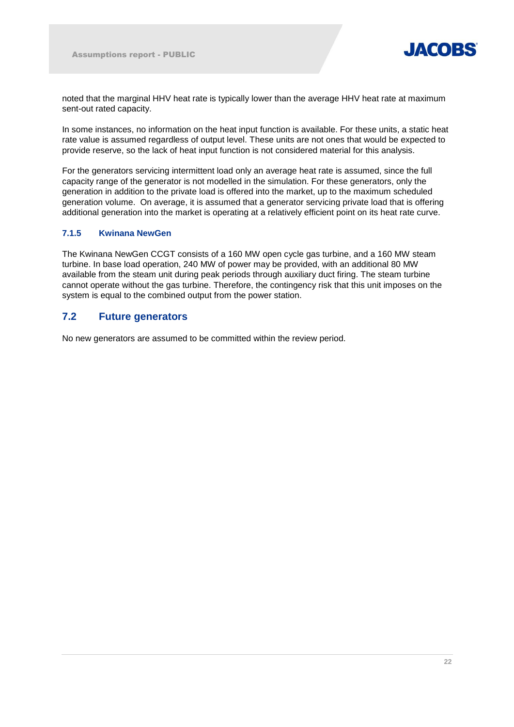

noted that the marginal HHV heat rate is typically lower than the average HHV heat rate at maximum sent-out rated capacity.

In some instances, no information on the heat input function is available. For these units, a static heat rate value is assumed regardless of output level. These units are not ones that would be expected to provide reserve, so the lack of heat input function is not considered material for this analysis.

For the generators servicing intermittent load only an average heat rate is assumed, since the full capacity range of the generator is not modelled in the simulation. For these generators, only the generation in addition to the private load is offered into the market, up to the maximum scheduled generation volume. On average, it is assumed that a generator servicing private load that is offering additional generation into the market is operating at a relatively efficient point on its heat rate curve.

#### **7.1.5 Kwinana NewGen**

The Kwinana NewGen CCGT consists of a 160 MW open cycle gas turbine, and a 160 MW steam turbine. In base load operation, 240 MW of power may be provided, with an additional 80 MW available from the steam unit during peak periods through auxiliary duct firing. The steam turbine cannot operate without the gas turbine. Therefore, the contingency risk that this unit imposes on the system is equal to the combined output from the power station.

### **7.2 Future generators**

No new generators are assumed to be committed within the review period.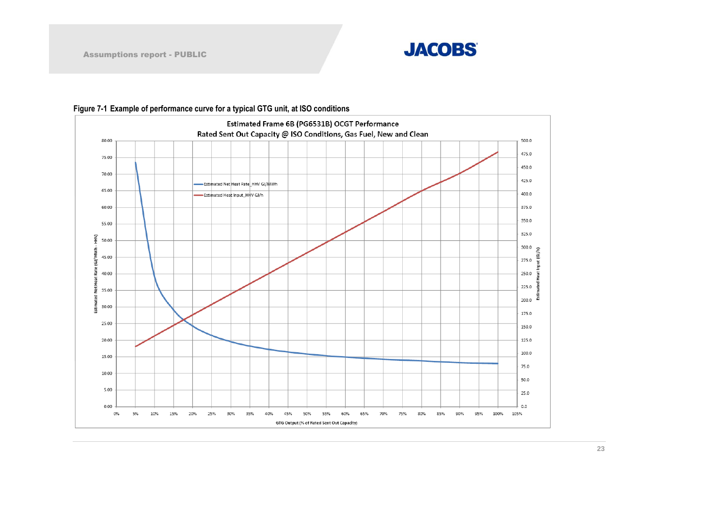<span id="page-22-0"></span>

## **Figure 7-1 Example of performance curve for a typical GTG unit, at ISO conditions**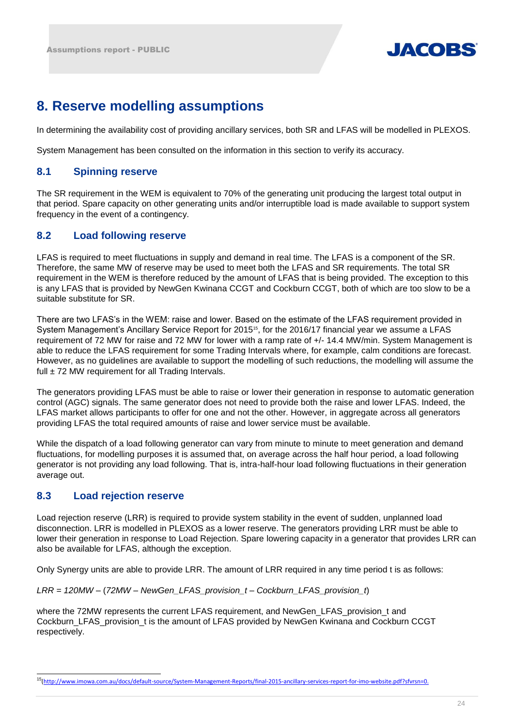

## **8. Reserve modelling assumptions**

In determining the availability cost of providing ancillary services, both SR and LFAS will be modelled in PLEXOS.

System Management has been consulted on the information in this section to verify its accuracy.

## **8.1 Spinning reserve**

The SR requirement in the WEM is equivalent to 70% of the generating unit producing the largest total output in that period. Spare capacity on other generating units and/or interruptible load is made available to support system frequency in the event of a contingency.

## <span id="page-23-0"></span>**8.2 Load following reserve**

LFAS is required to meet fluctuations in supply and demand in real time. The LFAS is a component of the SR. Therefore, the same MW of reserve may be used to meet both the LFAS and SR requirements. The total SR requirement in the WEM is therefore reduced by the amount of LFAS that is being provided. The exception to this is any LFAS that is provided by NewGen Kwinana CCGT and Cockburn CCGT, both of which are too slow to be a suitable substitute for SR.

There are two LFAS's in the WEM: raise and lower. Based on the estimate of the LFAS requirement provided in System Management's Ancillary Service Report for 2015<sup>15</sup>, for the 2016/17 financial year we assume a LFAS requirement of 72 MW for raise and 72 MW for lower with a ramp rate of +/- 14.4 MW/min. System Management is able to reduce the LFAS requirement for some Trading Intervals where, for example, calm conditions are forecast. However, as no guidelines are available to support the modelling of such reductions, the modelling will assume the full  $\pm$  72 MW requirement for all Trading Intervals.

The generators providing LFAS must be able to raise or lower their generation in response to automatic generation control (AGC) signals. The same generator does not need to provide both the raise and lower LFAS. Indeed, the LFAS market allows participants to offer for one and not the other. However, in aggregate across all generators providing LFAS the total required amounts of raise and lower service must be available.

While the dispatch of a load following generator can vary from minute to minute to meet generation and demand fluctuations, for modelling purposes it is assumed that, on average across the half hour period, a load following generator is not providing any load following. That is, intra-half-hour load following fluctuations in their generation average out.

## **8.3 Load rejection reserve**

Load rejection reserve (LRR) is required to provide system stability in the event of sudden, unplanned load disconnection. LRR is modelled in PLEXOS as a lower reserve. The generators providing LRR must be able to lower their generation in response to Load Rejection. Spare lowering capacity in a generator that provides LRR can also be available for LFAS, although the exception.

Only Synergy units are able to provide LRR. The amount of LRR required in any time period t is as follows:

*LRR* = *120MW* – (*72MW* – *NewGen\_LFAS\_provision\_t – Cockburn\_LFAS\_provision\_t*)

where the 72MW represents the current LFAS requirement, and NewGen\_LFAS\_provision\_t and Cockburn\_LFAS\_provision\_t is the amount of LFAS provided by NewGen Kwinana and Cockburn CCGT respectively.

l <sup>15</sup>[\(http://www.imowa.com.au/docs/default-source/System-Management-Reports/final-2015-ancillary-services-report-for-imo-website.pdf?sfvrsn=0](http://www.imowa.com.au/docs/default-source/System-Management-Reports/final-2015-ancillary-services-report-for-imo-website.pdf?sfvrsn=0).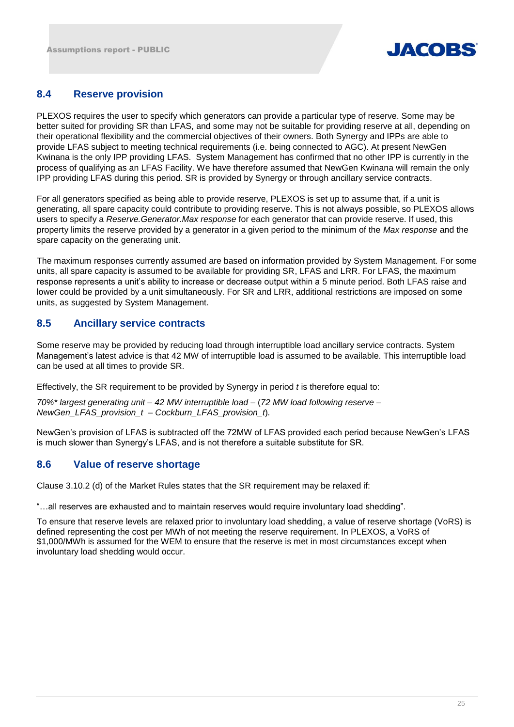

## **8.4 Reserve provision**

PLEXOS requires the user to specify which generators can provide a particular type of reserve. Some may be better suited for providing SR than LFAS, and some may not be suitable for providing reserve at all, depending on their operational flexibility and the commercial objectives of their owners. Both Synergy and IPPs are able to provide LFAS subject to meeting technical requirements (i.e. being connected to AGC). At present NewGen Kwinana is the only IPP providing LFAS. System Management has confirmed that no other IPP is currently in the process of qualifying as an LFAS Facility. We have therefore assumed that NewGen Kwinana will remain the only IPP providing LFAS during this period. SR is provided by Synergy or through ancillary service contracts.

For all generators specified as being able to provide reserve, PLEXOS is set up to assume that, if a unit is generating, all spare capacity could contribute to providing reserve. This is not always possible, so PLEXOS allows users to specify a *Reserve.Generator.Max response* for each generator that can provide reserve. If used, this property limits the reserve provided by a generator in a given period to the minimum of the *Max response* and the spare capacity on the generating unit.

The maximum responses currently assumed are based on information provided by System Management. For some units, all spare capacity is assumed to be available for providing SR, LFAS and LRR. For LFAS, the maximum response represents a unit's ability to increase or decrease output within a 5 minute period. Both LFAS raise and lower could be provided by a unit simultaneously. For SR and LRR, additional restrictions are imposed on some units, as suggested by System Management.

## **8.5 Ancillary service contracts**

Some reserve may be provided by reducing load through interruptible load ancillary service contracts. System Management's latest advice is that 42 MW of interruptible load is assumed to be available. This interruptible load can be used at all times to provide SR.

Effectively, the SR requirement to be provided by Synergy in period *t* is therefore equal to:

*70%\* largest generating unit – 42 MW interruptible load –* (*72 MW load following reserve – NewGen\_LFAS\_provision\_t – Cockburn\_LFAS\_provision\_t*)*.*

NewGen's provision of LFAS is subtracted off the 72MW of LFAS provided each period because NewGen's LFAS is much slower than Synergy's LFAS, and is not therefore a suitable substitute for SR.

## **8.6 Value of reserve shortage**

Clause 3.10.2 (d) of the Market Rules states that the SR requirement may be relaxed if:

"…all reserves are exhausted and to maintain reserves would require involuntary load shedding".

To ensure that reserve levels are relaxed prior to involuntary load shedding, a value of reserve shortage (VoRS) is defined representing the cost per MWh of not meeting the reserve requirement. In PLEXOS, a VoRS of \$1,000/MWh is assumed for the WEM to ensure that the reserve is met in most circumstances except when involuntary load shedding would occur.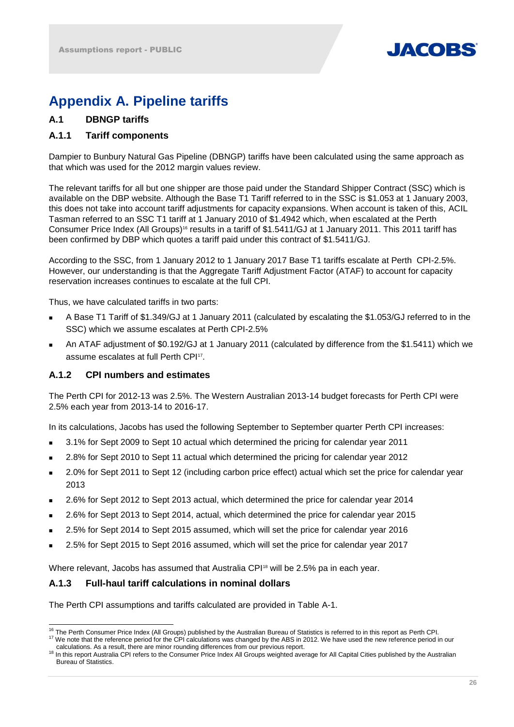

## <span id="page-25-0"></span>**Appendix A. Pipeline tariffs**

### **A.1 DBNGP tariffs**

### **A.1.1 Tariff components**

Dampier to Bunbury Natural Gas Pipeline (DBNGP) tariffs have been calculated using the same approach as that which was used for the 2012 margin values review.

The relevant tariffs for all but one shipper are those paid under the Standard Shipper Contract (SSC) which is available on the DBP website. Although the Base T1 Tariff referred to in the SSC is \$1.053 at 1 January 2003, this does not take into account tariff adjustments for capacity expansions. When account is taken of this, ACIL Tasman referred to an SSC T1 tariff at 1 January 2010 of \$1.4942 which, when escalated at the Perth Consumer Price Index (All Groups)<sup>16</sup> results in a tariff of \$1.5411/GJ at 1 January 2011. This 2011 tariff has been confirmed by DBP which quotes a tariff paid under this contract of \$1.5411/GJ.

According to the SSC, from 1 January 2012 to 1 January 2017 Base T1 tariffs escalate at Perth CPI-2.5%. However, our understanding is that the Aggregate Tariff Adjustment Factor (ATAF) to account for capacity reservation increases continues to escalate at the full CPI.

Thus, we have calculated tariffs in two parts:

- A Base T1 Tariff of \$1.349/GJ at 1 January 2011 (calculated by escalating the \$1.053/GJ referred to in the SSC) which we assume escalates at Perth CPI-2.5%
- An ATAF adjustment of \$0.192/GJ at 1 January 2011 (calculated by difference from the \$1.5411) which we assume escalates at full Perth CPI<sup>17</sup>.

#### **A.1.2 CPI numbers and estimates**

The Perth CPI for 2012-13 was 2.5%. The Western Australian 2013-14 budget forecasts for Perth CPI were 2.5% each year from 2013-14 to 2016-17.

In its calculations, Jacobs has used the following September to September quarter Perth CPI increases:

- 3.1% for Sept 2009 to Sept 10 actual which determined the pricing for calendar year 2011
- 2.8% for Sept 2010 to Sept 11 actual which determined the pricing for calendar year 2012
- 2.0% for Sept 2011 to Sept 12 (including carbon price effect) actual which set the price for calendar year 2013
- 2.6% for Sept 2012 to Sept 2013 actual, which determined the price for calendar year 2014
- 2.6% for Sept 2013 to Sept 2014, actual, which determined the price for calendar year 2015
- 2.5% for Sept 2014 to Sept 2015 assumed, which will set the price for calendar year 2016
- 2.5% for Sept 2015 to Sept 2016 assumed, which will set the price for calendar year 2017

Where relevant, Jacobs has assumed that Australia CPI<sup>18</sup> will be 2.5% pa in each year.

#### **A.1.3 Full-haul tariff calculations in nominal dollars**

The Perth CPI assumptions and tariffs calculated are provided in Table A-1.

<sup>17</sup> We note that the reference period for the CPI calculations was changed by the ABS in 2012. We have used the new reference period in our calculations. As a result, there are minor rounding differences from our previous report.

<sup>1</sup> <sup>16</sup> The Perth Consumer Price Index (All Groups) published by the Australian Bureau of Statistics is referred to in this report as Perth CPI.

<sup>&</sup>lt;sup>18</sup> In this report Australia CPI refers to the Consumer Price Index All Groups weighted average for All Capital Cities published by the Australian Bureau of Statistics.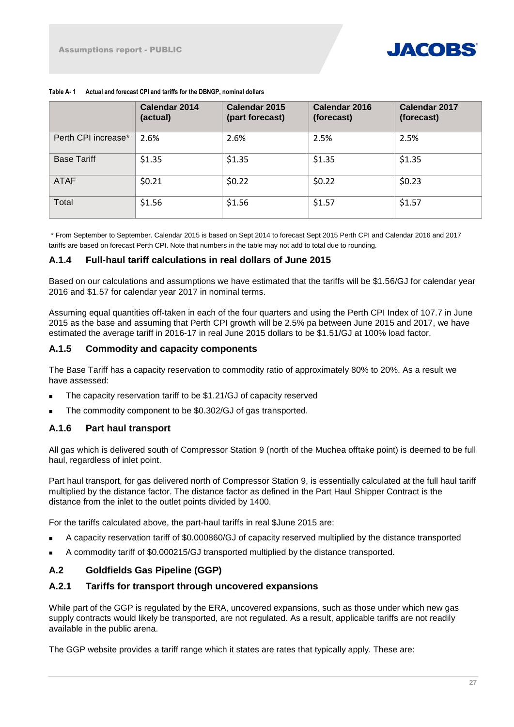|                     | Calendar 2014<br>(actual) | Calendar 2015<br>(part forecast) | Calendar 2016<br>(forecast) | Calendar 2017<br>(forecast) |
|---------------------|---------------------------|----------------------------------|-----------------------------|-----------------------------|
| Perth CPI increase* | 2.6%                      | 2.6%                             | 2.5%                        | 2.5%                        |
| <b>Base Tariff</b>  | \$1.35                    | \$1.35                           | \$1.35                      | \$1.35                      |
| <b>ATAF</b>         | \$0.21                    | \$0.22                           | \$0.22                      | \$0.23                      |
| Total               | \$1.56                    | \$1.56                           | \$1.57                      | \$1.57                      |

#### **Table A- 1 Actual and forecast CPI and tariffs for the DBNGP, nominal dollars**

\* From September to September. Calendar 2015 is based on Sept 2014 to forecast Sept 2015 Perth CPI and Calendar 2016 and 2017 tariffs are based on forecast Perth CPI. Note that numbers in the table may not add to total due to rounding.

#### **A.1.4 Full-haul tariff calculations in real dollars of June 2015**

Based on our calculations and assumptions we have estimated that the tariffs will be \$1.56/GJ for calendar year 2016 and \$1.57 for calendar year 2017 in nominal terms.

Assuming equal quantities off-taken in each of the four quarters and using the Perth CPI Index of 107.7 in June 2015 as the base and assuming that Perth CPI growth will be 2.5% pa between June 2015 and 2017, we have estimated the average tariff in 2016-17 in real June 2015 dollars to be \$1.51/GJ at 100% load factor.

#### **A.1.5 Commodity and capacity components**

The Base Tariff has a capacity reservation to commodity ratio of approximately 80% to 20%. As a result we have assessed:

- The capacity reservation tariff to be \$1.21/GJ of capacity reserved
- The commodity component to be \$0.302/GJ of gas transported.

#### **A.1.6 Part haul transport**

All gas which is delivered south of Compressor Station 9 (north of the Muchea offtake point) is deemed to be full haul, regardless of inlet point.

Part haul transport, for gas delivered north of Compressor Station 9, is essentially calculated at the full haul tariff multiplied by the distance factor. The distance factor as defined in the Part Haul Shipper Contract is the distance from the inlet to the outlet points divided by 1400.

For the tariffs calculated above, the part-haul tariffs in real \$June 2015 are:

- A capacity reservation tariff of \$0.000860/GJ of capacity reserved multiplied by the distance transported
- A commodity tariff of \$0.000215/GJ transported multiplied by the distance transported.

### **A.2 Goldfields Gas Pipeline (GGP)**

#### **A.2.1 Tariffs for transport through uncovered expansions**

While part of the GGP is regulated by the ERA, uncovered expansions, such as those under which new gas supply contracts would likely be transported, are not regulated. As a result, applicable tariffs are not readily available in the public arena.

The GGP website provides a tariff range which it states are rates that typically apply. These are: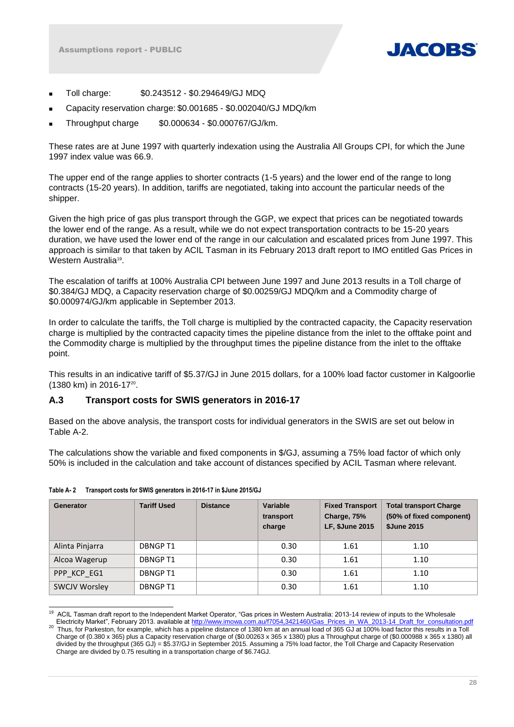

- Toll charge: \$0.243512 \$0.294649/GJ MDQ
- Capacity reservation charge: \$0.001685 \$0.002040/GJ MDQ/km
- Throughput charge \$0.000634 \$0.000767/GJ/km.

These rates are at June 1997 with quarterly indexation using the Australia All Groups CPI, for which the June 1997 index value was 66.9.

The upper end of the range applies to shorter contracts (1-5 years) and the lower end of the range to long contracts (15-20 years). In addition, tariffs are negotiated, taking into account the particular needs of the shipper.

Given the high price of gas plus transport through the GGP, we expect that prices can be negotiated towards the lower end of the range. As a result, while we do not expect transportation contracts to be 15-20 years duration, we have used the lower end of the range in our calculation and escalated prices from June 1997. This approach is similar to that taken by ACIL Tasman in its February 2013 draft report to IMO entitled Gas Prices in Western Australia<sup>19</sup>.

The escalation of tariffs at 100% Australia CPI between June 1997 and June 2013 results in a Toll charge of \$0.384/GJ MDQ, a Capacity reservation charge of \$0.00259/GJ MDQ/km and a Commodity charge of \$0.000974/GJ/km applicable in September 2013.

In order to calculate the tariffs, the Toll charge is multiplied by the contracted capacity, the Capacity reservation charge is multiplied by the contracted capacity times the pipeline distance from the inlet to the offtake point and the Commodity charge is multiplied by the throughput times the pipeline distance from the inlet to the offtake point.

This results in an indicative tariff of \$5.37/GJ in June 2015 dollars, for a 100% load factor customer in Kalgoorlie  $(1380 \text{ km})$  in 2016-17<sup>20</sup>.

#### **A.3 Transport costs for SWIS generators in 2016-17**

Based on the above analysis, the transport costs for individual generators in the SWIS are set out below in Table A-2.

The calculations show the variable and fixed components in \$/GJ, assuming a 75% load factor of which only 50% is included in the calculation and take account of distances specified by ACIL Tasman where relevant.

| Generator            | <b>Tariff Used</b> | <b>Distance</b> | Variable<br>transport<br>charge | <b>Fixed Transport</b><br>Charge, 75%<br><b>LF, \$June 2015</b> | <b>Total transport Charge</b><br>(50% of fixed component)<br><b>\$June 2015</b> |
|----------------------|--------------------|-----------------|---------------------------------|-----------------------------------------------------------------|---------------------------------------------------------------------------------|
| Alinta Pinjarra      | DBNGP T1           |                 | 0.30                            | 1.61                                                            | 1.10                                                                            |
| Alcoa Wagerup        | DBNGP T1           |                 | 0.30                            | 1.61                                                            | 1.10                                                                            |
| PPP KCP EG1          | DBNGP T1           |                 | 0.30                            | 1.61                                                            | 1.10                                                                            |
| <b>SWCJV Worsley</b> | DBNGP T1           |                 | 0.30                            | 1.61                                                            | 1.10                                                                            |

**Table A- 2 Transport costs for SWIS generators in 2016-17 in \$June 2015/GJ**

 19 ACIL Tasman draft report to the Independent Market Operator, "Gas prices in Western Australia: 2013-14 review of inputs to the Wholesale Electricity Market", February 2013. available at http://www.imowa.com.au/f7054,3421460/Gas\_Prices\_in\_WA\_2013-14\_Draft\_for\_consultation

<sup>20</sup> Thus, for Parkeston, for example, which has a pipeline distance of 1380 km at an annual load of 365 GJ at 100% load factor this results in a Toll Charge of (0.380 x 365) plus a Capacity reservation charge of (\$0.00263 x 365 x 1380) plus a Throughput charge of (\$0.000988 x 365 x 1380) all divided by the throughput (365 GJ) = \$5.37/GJ in September 2015. Assuming a 75% load factor, the Toll Charge and Capacity Reservation Charge are divided by 0.75 resulting in a transportation charge of \$6.74GJ.